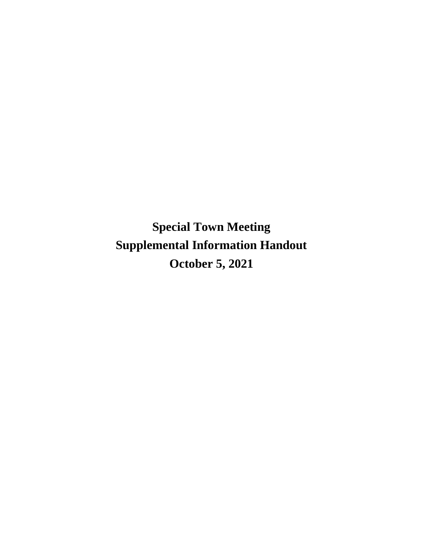**Special Town Meeting Supplemental Information Handout October 5, 2021**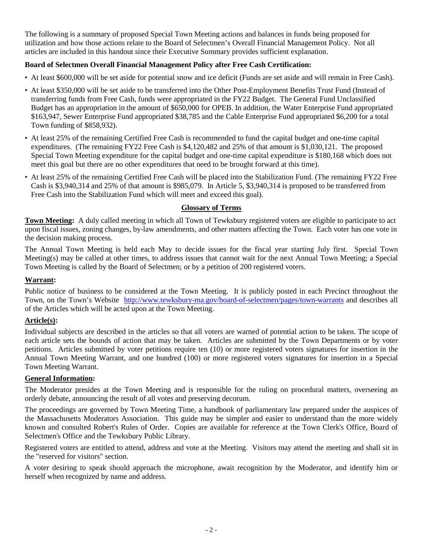The following is a summary of proposed Special Town Meeting actions and balances in funds being proposed for utilization and how those actions relate to the Board of Selectmen's Overall Financial Management Policy. Not all articles are included in this handout since their Executive Summary provides sufficient explanation.

# **Board of Selectmen Overall Financial Management Policy after Free Cash Certification:**

- At least \$600,000 will be set aside for potential snow and ice deficit (Funds are set aside and will remain in Free Cash).
- At least \$350,000 will be set aside to be transferred into the Other Post-Employment Benefits Trust Fund (Instead of transferring funds from Free Cash, funds were appropriated in the FY22 Budget. The General Fund Unclassified Budget has an appropriation in the amount of \$650,000 for OPEB. In addition, the Water Enterprise Fund appropriated \$163,947, Sewer Enterprise Fund appropriated \$38,785 and the Cable Enterprise Fund appropriated \$6,200 for a total Town funding of \$858,932).
- At least 25% of the remaining Certified Free Cash is recommended to fund the capital budget and one-time capital expenditures. (The remaining FY22 Free Cash is \$4,120,482 and 25% of that amount is \$1,030,121. The proposed Special Town Meeting expenditure for the capital budget and one-time capital expenditure is \$180,168 which does not meet this goal but there are no other expenditures that need to be brought forward at this time).
- At least 25% of the remaining Certified Free Cash will be placed into the Stabilization Fund. (The remaining FY22 Free Cash is \$3,940,314 and 25% of that amount is \$985,079. In Article 5, \$3,940,314 is proposed to be transferred from Free Cash into the Stabilization Fund which will meet and exceed this goal).

# **Glossary of Terms**

**Town Meeting:** A duly called meeting in which all Town of Tewksbury registered voters are eligible to participate to act upon fiscal issues, zoning changes, by-law amendments, and other matters affecting the Town. Each voter has one vote in the decision making process.

The Annual Town Meeting is held each May to decide issues for the fiscal year starting July first. Special Town Meeting(s) may be called at other times, to address issues that cannot wait for the next Annual Town Meeting; a Special Town Meeting is called by the Board of Selectmen; or by a petition of 200 registered voters.

# **Warrant:**

Public notice of business to be considered at the Town Meeting. It is publicly posted in each Precinct throughout the Town, on the Town's Website <http://www.tewksbury-ma.gov/board-of-selectmen/pages/town-warrants> and describes all of the Articles which will be acted upon at the Town Meeting.

# **Article(s):**

Individual subjects are described in the articles so that all voters are warned of potential action to be taken. The scope of each article sets the bounds of action that may be taken. Articles are submitted by the Town Departments or by voter petitions. Articles submitted by voter petitions require ten (10) or more registered voters signatures for insertion in the Annual Town Meeting Warrant, and one hundred (100) or more registered voters signatures for insertion in a Special Town Meeting Warrant.

# **General Information:**

The Moderator presides at the Town Meeting and is responsible for the ruling on procedural matters, overseeing an orderly debate, announcing the result of all votes and preserving decorum.

The proceedings are governed by Town Meeting Time, a handbook of parliamentary law prepared under the auspices of the Massachusetts Moderators Association. This guide may be simpler and easier to understand than the more widely known and consulted Robert's Rules of Order. Copies are available for reference at the Town Clerk's Office, Board of Selectmen's Office and the Tewksbury Public Library.

Registered voters are entitled to attend, address and vote at the Meeting. Visitors may attend the meeting and shall sit in the "reserved for visitors" section.

A voter desiring to speak should approach the microphone, await recognition by the Moderator, and identify him or herself when recognized by name and address.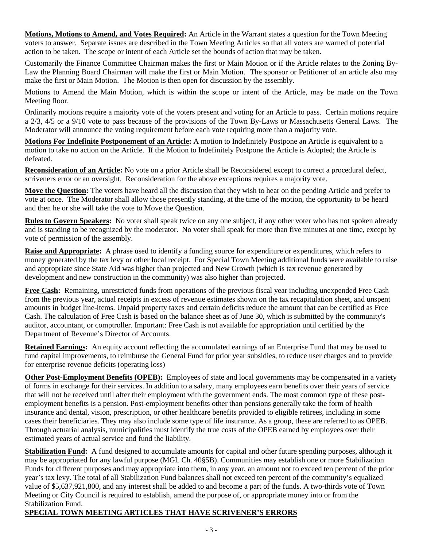**Motions, Motions to Amend, and Votes Required:** An Article in the Warrant states a question for the Town Meeting voters to answer. Separate issues are described in the Town Meeting Articles so that all voters are warned of potential action to be taken. The scope or intent of each Article set the bounds of action that may be taken.

Customarily the Finance Committee Chairman makes the first or Main Motion or if the Article relates to the Zoning By-Law the Planning Board Chairman will make the first or Main Motion. The sponsor or Petitioner of an article also may make the first or Main Motion. The Motion is then open for discussion by the assembly.

Motions to Amend the Main Motion, which is within the scope or intent of the Article, may be made on the Town Meeting floor.

Ordinarily motions require a majority vote of the voters present and voting for an Article to pass. Certain motions require a 2/3, 4/5 or a 9/10 vote to pass because of the provisions of the Town By-Laws or Massachusetts General Laws. The Moderator will announce the voting requirement before each vote requiring more than a majority vote.

**Motions For Indefinite Postponement of an Article:** A motion to Indefinitely Postpone an Article is equivalent to a motion to take no action on the Article. If the Motion to Indefinitely Postpone the Article is Adopted; the Article is defeated.

**Reconsideration of an Article:** No vote on a prior Article shall be Reconsidered except to correct a procedural defect, scriveners error or an oversight. Reconsideration for the above exceptions requires a majority vote.

**Move the Question:** The voters have heard all the discussion that they wish to hear on the pending Article and prefer to vote at once. The Moderator shall allow those presently standing, at the time of the motion, the opportunity to be heard and then he or she will take the vote to Move the Question.

**Rules to Govern Speakers:** No voter shall speak twice on any one subject, if any other voter who has not spoken already and is standing to be recognized by the moderator. No voter shall speak for more than five minutes at one time, except by vote of permission of the assembly.

**Raise and Appropriate:** A phrase used to identify a funding source for expenditure or expenditures, which refers to money generated by the tax levy or other local receipt. For Special Town Meeting additional funds were available to raise and appropriate since State Aid was higher than projected and New Growth (which is tax revenue generated by development and new construction in the community) was also higher than projected.

**Free Cash:** Remaining, unrestricted funds from operations of the previous fiscal year including unexpended Free Cash from the previous year, actual receipts in excess of revenue estimates shown on the tax recapitulation sheet, and unspent amounts in budget line-items. Unpaid property taxes and certain deficits reduce the amount that can be certified as Free Cash. The calculation of Free Cash is based on the balance sheet as of June 30, which is submitted by the community's auditor, accountant, or comptroller. Important: Free Cash is not available for appropriation until certified by the Department of Revenue's Director of Accounts.

**Retained Earnings:** An equity account reflecting the accumulated earnings of an Enterprise Fund that may be used to fund capital improvements, to reimburse the General Fund for prior year subsidies, to reduce user charges and to provide for enterprise revenue deficits (operating loss)

**Other Post-Employment Benefits (OPEB):** Employees of state and local governments may be compensated in a variety of forms in exchange for their services. In addition to a salary, many employees earn benefits over their years of service that will not be received until after their employment with the government ends. The most common type of these postemployment benefits is a pension. Post-employment benefits other than pensions generally take the form of health insurance and dental, vision, prescription, or other healthcare benefits provided to eligible retirees, including in some cases their beneficiaries. They may also include some type of life insurance. As a group, these are referred to as OPEB. Through actuarial analysis, municipalities must identify the true costs of the OPEB earned by employees over their estimated years of actual service and fund the liability.

**Stabilization Fund:** A fund designed to accumulate amounts for capital and other future spending purposes, although it may be appropriated for any lawful purpose (MGL Ch. 40§5B). Communities may establish one or more Stabilization Funds for different purposes and may appropriate into them, in any year, an amount not to exceed ten percent of the prior year's tax levy. The total of all Stabilization Fund balances shall not exceed ten percent of the community's equalized value of \$5,637,921,800, and any interest shall be added to and become a part of the funds. A two-thirds vote of Town Meeting or City Council is required to establish, amend the purpose of, or appropriate money into or from the Stabilization Fund.

# **SPECIAL TOWN MEETING ARTICLES THAT HAVE SCRIVENER'S ERRORS**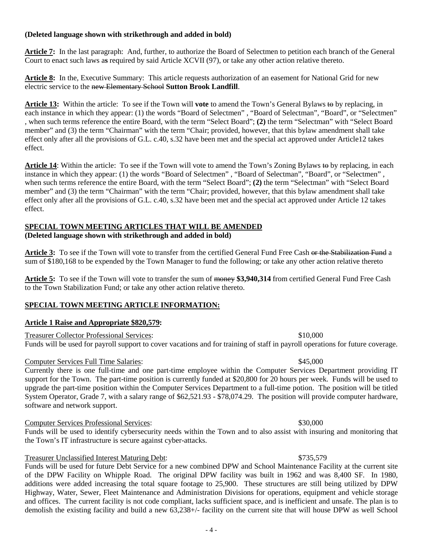# **(Deleted language shown with strikethrough and added in bold)**

**Article 7:** In the last paragraph: And, further, to authorize the Board of Selectmen to petition each branch of the General Court to enact such laws a**s** required by said Article XCVII (97), or take any other action relative thereto.

**Article 8:** In the, Executive Summary: This article requests authorization of an easement for National Grid for new electric service to the new Elementary School **Sutton Brook Landfill**.

**Article 13:** Within the article: To see if the Town will **vote** to amend the Town's General Bylaws to by replacing, in each instance in which they appear: (1) the words "Board of Selectmen" , "Board of Selectman", "Board", or "Selectmen" , when such terms reference the entire Board, with the term "Select Board"; **(2)** the term "Selectman" with "Select Board member" and (3) the term "Chairman" with the term "Chair; provided, however, that this bylaw amendment shall take effect only after all the provisions of G.L. c.40, s.32 have been met and the special act approved under Article12 takes effect.

**Article 14**: Within the article: To see if the Town will vote to amend the Town's Zoning Bylaws to by replacing, in each instance in which they appear: (1) the words "Board of Selectmen" , "Board of Selectman", "Board", or "Selectmen" , when such terms reference the entire Board, with the term "Select Board"; **(2)** the term "Selectman" with "Select Board member" and (3) the term "Chairman" with the term "Chair; provided, however, that this bylaw amendment shall take effect only after all the provisions of G.L. c.40, s.32 have been met and the special act approved under Article 12 takes effect.

# **SPECIAL TOWN MEETING ARTICLES THAT WILL BE AMENDED**

### **(Deleted language shown with strikethrough and added in bold)**

**Article 3:** To see if the Town will vote to transfer from the certified General Fund Free Cash or the Stabilization Fund a sum of \$180,168 to be expended by the Town Manager to fund the following; or take any other action relative thereto

**Article 5:** To see if the Town will vote to transfer the sum of money **\$3,940,314** from certified General Fund Free Cash to the Town Stabilization Fund; or take any other action relative thereto.

# **SPECIAL TOWN MEETING ARTICLE INFORMATION:**

### **Article 1 Raise and Appropriate \$820,579:**

Treasurer Collector Professional Services: \$10,000

Funds will be used for payroll support to cover vacations and for training of staff in payroll operations for future coverage.

### Computer Services Full Time Salaries: \$45,000

Currently there is one full-time and one part-time employee within the Computer Services Department providing IT support for the Town. The part-time position is currently funded at \$20,800 for 20 hours per week. Funds will be used to upgrade the part-time position within the Computer Services Department to a full-time potion. The position will be titled System Operator, Grade 7, with a salary range of \$62,521.93 - \$78,074.29. The position will provide computer hardware, software and network support.

### Computer Services Professional Services: \$30,000

Funds will be used to identify cybersecurity needs within the Town and to also assist with insuring and monitoring that the Town's IT infrastructure is secure against cyber-attacks.

# Treasurer Unclassified Interest Maturing Debt: \$735,579

Funds will be used for future Debt Service for a new combined DPW and School Maintenance Facility at the current site of the DPW Facility on Whipple Road. The original DPW facility was built in 1962 and was 8,400 SF. In 1980, additions were added increasing the total square footage to 25,900. These structures are still being utilized by DPW Highway, Water, Sewer, Fleet Maintenance and Administration Divisions for operations, equipment and vehicle storage and offices. The current facility is not code compliant, lacks sufficient space, and is inefficient and unsafe. The plan is to demolish the existing facility and build a new 63,238+/- facility on the current site that will house DPW as well School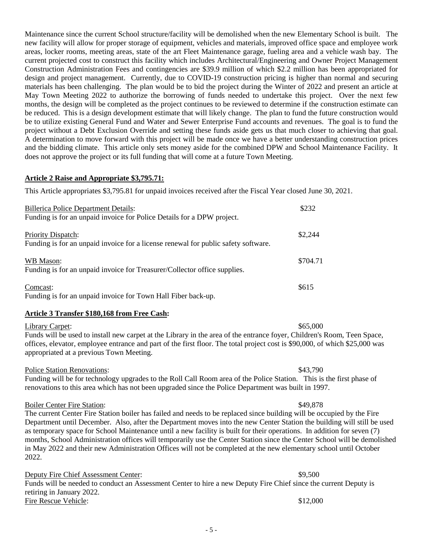Maintenance since the current School structure/facility will be demolished when the new Elementary School is built. The new facility will allow for proper storage of equipment, vehicles and materials, improved office space and employee work areas, locker rooms, meeting areas, state of the art Fleet Maintenance garage, fueling area and a vehicle wash bay. The current projected cost to construct this facility which includes Architectural/Engineering and Owner Project Management Construction Administration Fees and contingencies are \$39.9 million of which \$2.2 million has been appropriated for design and project management. Currently, due to COVID-19 construction pricing is higher than normal and securing materials has been challenging. The plan would be to bid the project during the Winter of 2022 and present an article at May Town Meeting 2022 to authorize the borrowing of funds needed to undertake this project. Over the next few months, the design will be completed as the project continues to be reviewed to determine if the construction estimate can be reduced. This is a design development estimate that will likely change. The plan to fund the future construction would be to utilize existing General Fund and Water and Sewer Enterprise Fund accounts and revenues. The goal is to fund the project without a Debt Exclusion Override and setting these funds aside gets us that much closer to achieving that goal. A determination to move forward with this project will be made once we have a better understanding construction prices and the bidding climate. This article only sets money aside for the combined DPW and School Maintenance Facility. It does not approve the project or its full funding that will come at a future Town Meeting.

## **Article 2 Raise and Appropriate \$3,795.71:**

This Article appropriates \$3,795.81 for unpaid invoices received after the Fiscal Year closed June 30, 2021.

| <b>Billerica Police Department Details:</b><br>Funding is for an unpaid invoice for Police Details for a DPW project. | \$232    |
|-----------------------------------------------------------------------------------------------------------------------|----------|
| <b>Priority Dispatch:</b><br>Funding is for an unpaid invoice for a license renewal for public safety software.       | \$2,244  |
| <b>WB</b> Mason:<br>Funding is for an unpaid invoice for Treasurer/Collector office supplies.                         | \$704.71 |
| Comcast:                                                                                                              | \$615    |

Funding is for an unpaid invoice for Town Hall Fiber back-up.

### **Article 3 Transfer \$180,168 from Free Cash:**

Library Carpet:  $\$65,000$ Funds will be used to install new carpet at the Library in the area of the entrance foyer, Children's Room, Teen Space, offices, elevator, employee entrance and part of the first floor. The total project cost is \$90,000, of which \$25,000 was appropriated at a previous Town Meeting.

### Police Station Renovations:  $\frac{$43,790}{2}$

Funding will be for technology upgrades to the Roll Call Room area of the Police Station. This is the first phase of renovations to this area which has not been upgraded since the Police Department was built in 1997.

### Boiler Center Fire Station:  $\frac{$49.878}{99.878}$

The current Center Fire Station boiler has failed and needs to be replaced since building will be occupied by the Fire Department until December. Also, after the Department moves into the new Center Station the building will still be used as temporary space for School Maintenance until a new facility is built for their operations. In addition for seven (7) months, School Administration offices will temporarily use the Center Station since the Center School will be demolished in May 2022 and their new Administration Offices will not be completed at the new elementary school until October 2022.

Deputy Fire Chief Assessment Center:  $$9,500$ Funds will be needed to conduct an Assessment Center to hire a new Deputy Fire Chief since the current Deputy is retiring in January 2022. Fire Rescue Vehicle:  $$12,000$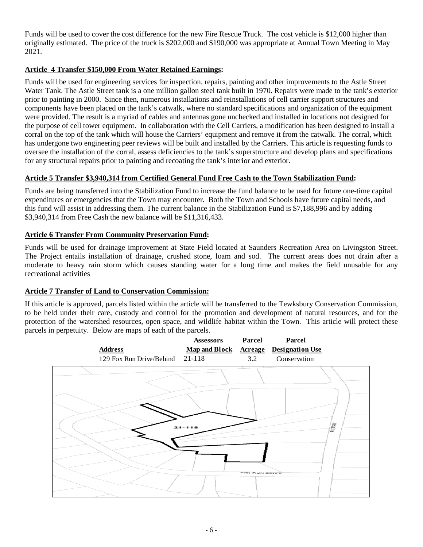Funds will be used to cover the cost difference for the new Fire Rescue Truck. The cost vehicle is \$12,000 higher than originally estimated. The price of the truck is \$202,000 and \$190,000 was appropriate at Annual Town Meeting in May 2021.

# **Article 4 Transfer \$150,000 From Water Retained Earnings:**

Funds will be used for engineering services for inspection, repairs, painting and other improvements to the Astle Street Water Tank. The Astle Street tank is a one million gallon steel tank built in 1970. Repairs were made to the tank's exterior prior to painting in 2000. Since then, numerous installations and reinstallations of cell carrier support structures and components have been placed on the tank's catwalk, where no standard specifications and organization of the equipment were provided. The result is a myriad of cables and antennas gone unchecked and installed in locations not designed for the purpose of cell tower equipment. In collaboration with the Cell Carriers, a modification has been designed to install a corral on the top of the tank which will house the Carriers' equipment and remove it from the catwalk. The corral, which has undergone two engineering peer reviews will be built and installed by the Carriers. This article is requesting funds to oversee the installation of the corral, assess deficiencies to the tank's superstructure and develop plans and specifications for any structural repairs prior to painting and recoating the tank's interior and exterior.

# **Article 5 Transfer \$3,940,314 from Certified General Fund Free Cash to the Town Stabilization Fund:**

Funds are being transferred into the Stabilization Fund to increase the fund balance to be used for future one-time capital expenditures or emergencies that the Town may encounter. Both the Town and Schools have future capital needs, and this fund will assist in addressing them. The current balance in the Stabilization Fund is \$7,188,996 and by adding \$3,940,314 from Free Cash the new balance will be \$11,316,433.

## **Article 6 Transfer From Community Preservation Fund:**

Funds will be used for drainage improvement at State Field located at Saunders Recreation Area on Livingston Street. The Project entails installation of drainage, crushed stone, loam and sod. The current areas does not drain after a moderate to heavy rain storm which causes standing water for a long time and makes the field unusable for any recreational activities

# **Article 7 Transfer of Land to Conservation Commission:**

If this article is approved, parcels listed within the article will be transferred to the Tewksbury Conservation Commission, to be held under their care, custody and control for the promotion and development of natural resources, and for the protection of the watershed resources, open space, and wildlife habitat within the Town. This article will protect these parcels in perpetuity. Below are maps of each of the parcels.

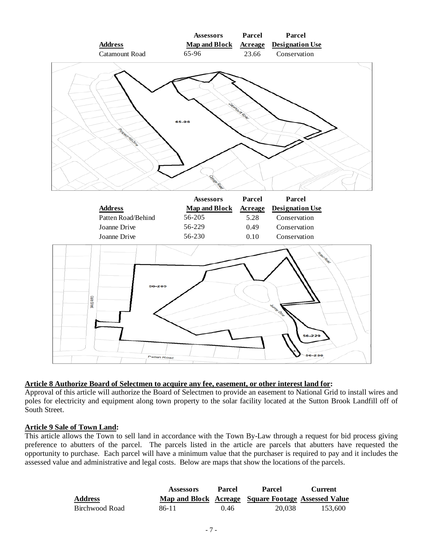

### **Article 8 Authorize Board of Selectmen to acquire any fee, easement, or other interest land for:**

Approval of this article will authorize the Board of Selectmen to provide an easement to National Grid to install wires and poles for electricity and equipment along town property to the solar facility located at the Sutton Brook Landfill off of South Street.

### **Article 9 Sale of Town Land:**

This article allows the Town to sell land in accordance with the Town By-Law through a request for bid process giving preference to abutters of the parcel. The parcels listed in the article are parcels that abutters have requested the opportunity to purchase. Each parcel will have a minimum value that the purchaser is required to pay and it includes the assessed value and administrative and legal costs. Below are maps that show the locations of the parcels.

|                | <b>Assessors</b> | <b>Parcel</b> | Parcel                                              | Current |
|----------------|------------------|---------------|-----------------------------------------------------|---------|
| <b>Address</b> |                  |               | Map and Block Acreage Square Footage Assessed Value |         |
| Birchwood Road | 86-11            | 0.46          | 20.038                                              | 153.600 |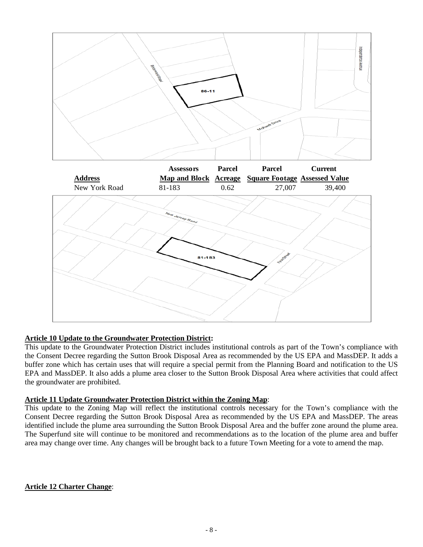

# **Article 10 Update to the Groundwater Protection District:**

This update to the Groundwater Protection District includes institutional controls as part of the Town's compliance with the Consent Decree regarding the Sutton Brook Disposal Area as recommended by the US EPA and MassDEP. It adds a buffer zone which has certain uses that will require a special permit from the Planning Board and notification to the US EPA and MassDEP. It also adds a plume area closer to the Sutton Brook Disposal Area where activities that could affect the groundwater are prohibited.

### **Article 11 Update Groundwater Protection District within the Zoning Map**:

This update to the Zoning Map will reflect the institutional controls necessary for the Town's compliance with the Consent Decree regarding the Sutton Brook Disposal Area as recommended by the US EPA and MassDEP. The areas identified include the plume area surrounding the Sutton Brook Disposal Area and the buffer zone around the plume area. The Superfund site will continue to be monitored and recommendations as to the location of the plume area and buffer area may change over time. Any changes will be brought back to a future Town Meeting for a vote to amend the map.

# **Article 12 Charter Change**: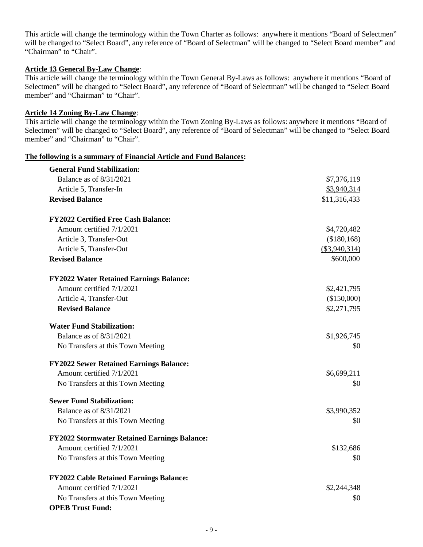This article will change the terminology within the Town Charter as follows: anywhere it mentions "Board of Selectmen" will be changed to "Select Board", any reference of "Board of Selectman" will be changed to "Select Board member" and "Chairman" to "Chair".

# **Article 13 General By-Law Change**:

This article will change the terminology within the Town General By-Laws as follows: anywhere it mentions "Board of Selectmen" will be changed to "Select Board", any reference of "Board of Selectman" will be changed to "Select Board member" and "Chairman" to "Chair".

# **Article 14 Zoning By-Law Change**:

This article will change the terminology within the Town Zoning By-Laws as follows: anywhere it mentions "Board of Selectmen" will be changed to "Select Board", any reference of "Board of Selectman" will be changed to "Select Board member" and "Chairman" to "Chair".

### **The following is a summary of Financial Article and Fund Balances:**

| <b>General Fund Stabilization:</b>                  |               |
|-----------------------------------------------------|---------------|
| Balance as of 8/31/2021                             | \$7,376,119   |
| Article 5, Transfer-In                              | \$3,940,314   |
| <b>Revised Balance</b>                              | \$11,316,433  |
| <b>FY2022 Certified Free Cash Balance:</b>          |               |
| Amount certified 7/1/2021                           | \$4,720,482   |
| Article 3, Transfer-Out                             | (\$180,168)   |
| Article 5, Transfer-Out                             | (\$3,940,314) |
| <b>Revised Balance</b>                              | \$600,000     |
| <b>FY2022 Water Retained Earnings Balance:</b>      |               |
| Amount certified 7/1/2021                           | \$2,421,795   |
| Article 4, Transfer-Out                             | (\$150,000)   |
| <b>Revised Balance</b>                              | \$2,271,795   |
| <b>Water Fund Stabilization:</b>                    |               |
| Balance as of 8/31/2021                             | \$1,926,745   |
| No Transfers at this Town Meeting                   | \$0           |
| <b>FY2022 Sewer Retained Earnings Balance:</b>      |               |
| Amount certified 7/1/2021                           | \$6,699,211   |
| No Transfers at this Town Meeting                   | \$0           |
| <b>Sewer Fund Stabilization:</b>                    |               |
| Balance as of 8/31/2021                             | \$3,990,352   |
| No Transfers at this Town Meeting                   | \$0           |
| <b>FY2022 Stormwater Retained Earnings Balance:</b> |               |
| Amount certified 7/1/2021                           | \$132,686     |
| No Transfers at this Town Meeting                   | \$0           |
| <b>FY2022 Cable Retained Earnings Balance:</b>      |               |
| Amount certified 7/1/2021                           | \$2,244,348   |
| No Transfers at this Town Meeting                   | \$0           |
| <b>OPEB Trust Fund:</b>                             |               |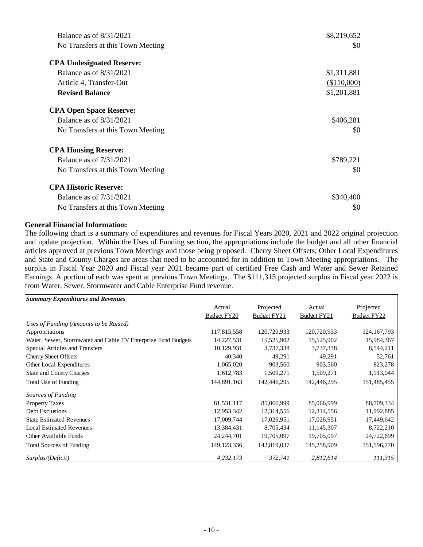| Balance as of $8/31/2021$         | \$8,219,652 |
|-----------------------------------|-------------|
| No Transfers at this Town Meeting | \$0         |
| <b>CPA Undesignated Reserve:</b>  |             |
| Balance as of $8/31/2021$         | \$1,311,881 |
| Article 4, Transfer-Out           | (\$110,000) |
| <b>Revised Balance</b>            | \$1,201,881 |
| <b>CPA Open Space Reserve:</b>    |             |
| Balance as of $8/31/2021$         | \$406,281   |
| No Transfers at this Town Meeting | \$0         |
| <b>CPA Housing Reserve:</b>       |             |
| Balance as of 7/31/2021           | \$789,221   |
| No Transfers at this Town Meeting | \$0         |
| <b>CPA Historic Reserve:</b>      |             |
| Balance as of 7/31/2021           | \$340,400   |
| No Transfers at this Town Meeting | \$0         |

### **General Financial Information:**

The following chart is a summary of expenditures and revenues for Fiscal Years 2020, 2021 and 2022 original projection and update projection. Within the Uses of Funding section, the appropriations include the budget and all other financial articles approved at previous Town Meetings and those being proposed. Cherry Sheet Offsets, Other Local Expenditures and State and County Charges are areas that need to be accounted for in addition to Town Meeting appropriations. The surplus in Fiscal Year 2020 and Fiscal year 2021 became part of certified Free Cash and Water and Sewer Retained Earnings. A portion of each was spent at previous Town Meetings. The \$111,315 projected surplus in Fiscal year 2022 is from Water, Sewer, Stormwater and Cable Enterprise Fund revenue.

| <b>Summary Expenditures and Revenues</b>                      |               |             |             |               |
|---------------------------------------------------------------|---------------|-------------|-------------|---------------|
|                                                               | Actual        | Projected   | Actual      | Projected     |
|                                                               | Budget FY20   | Budget FY21 | Budget FY21 | Budget FY22   |
| Uses of Funding (Amounts to be Raised)                        |               |             |             |               |
| Appropriations                                                | 117,815,558   | 120,720,933 | 120,720,933 | 124, 167, 793 |
| Water, Sewer, Stormwater and Cable TV Enterprise Fund Budgets | 14,227,531    | 15,525,902  | 15,525,902  | 15,984,367    |
| Special Articles and Transfers                                | 10,129,931    | 3,737,338   | 3,737,338   | 8,544,211     |
| <b>Cherry Sheet Offsets</b>                                   | 40,340        | 49,291      | 49,291      | 52,761        |
| Other Local Expenditures                                      | 1,065,020     | 903,560     | 903,560     | 823,278       |
| State and County Charges                                      | 1,612,783     | 1,509,271   | 1,509,271   | 1,913,044     |
| Total Use of Funding                                          | 144,891,163   | 142,446,295 | 142,446,295 | 151,485,455   |
| Sources of Funding                                            |               |             |             |               |
| <b>Property Taxes</b>                                         | 81,531,117    | 85,066,999  | 85,066,999  | 88,709,334    |
| Debt Exclusions                                               | 12,953,342    | 12,314,556  | 12,314,556  | 11,992,885    |
| <b>State Estimated Revenues</b>                               | 17,009,744    | 17,026,951  | 17,026,951  | 17,449,642    |
| Local Estimated Revenues                                      | 13,384,431    | 8,705,434   | 11,145,307  | 8,722,210     |
| Other Available Funds                                         | 24, 244, 701  | 19,705,097  | 19,705,097  | 24,722,699    |
| <b>Total Sources of Funding</b>                               | 149, 123, 336 | 142,819,037 | 145,258,909 | 151,596,770   |
| Surplus/(Deficit)                                             | 4,232,173     | 372,741     | 2,812,614   | 111,315       |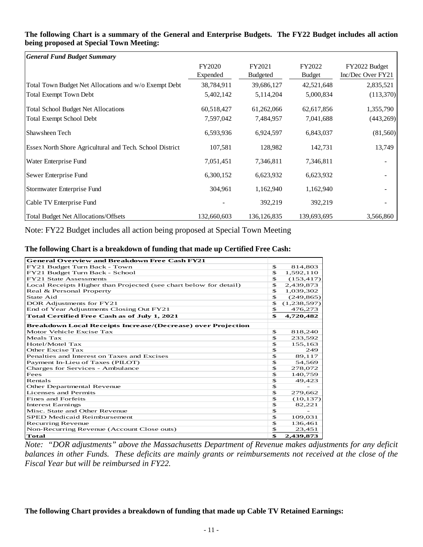| <b>General Fund Budget Summary</b>                              |             |                 |               |                   |
|-----------------------------------------------------------------|-------------|-----------------|---------------|-------------------|
|                                                                 | FY2020      | FY2021          | FY2022        | FY2022 Budget     |
|                                                                 | Expended    | <b>Budgeted</b> | <b>Budget</b> | Inc/Dec Over FY21 |
| Total Town Budget Net Allocations and w/o Exempt Debt           | 38,784,911  | 39,686,127      | 42,521,648    | 2,835,521         |
| <b>Total Exempt Town Debt</b>                                   | 5,402,142   | 5,114,204       | 5,000,834     | (113,370)         |
| <b>Total School Budget Net Allocations</b>                      | 60,518,427  | 61,262,066      | 62,617,856    | 1,355,790         |
| <b>Total Exempt School Debt</b>                                 | 7,597,042   | 7,484,957       | 7,041,688     | (443, 269)        |
| Shawsheen Tech                                                  | 6,593,936   | 6,924,597       | 6,843,037     | (81, 560)         |
| <b>Essex North Shore Agricultural and Tech. School District</b> | 107,581     | 128,982         | 142,731       | 13,749            |
| Water Enterprise Fund                                           | 7,051,451   | 7,346,811       | 7,346,811     |                   |
| Sewer Enterprise Fund                                           | 6,300,152   | 6,623,932       | 6,623,932     |                   |
| Stormwater Enterprise Fund                                      | 304,961     | 1,162,940       | 1,162,940     |                   |
| Cable TV Enterprise Fund                                        |             | 392,219         | 392,219       |                   |
| <b>Total Budget Net Allocations/Offsets</b>                     | 132,660,603 | 136, 126, 835   | 139,693,695   | 3,566,860         |

### **The following Chart is a summary of the General and Enterprise Budgets. The FY22 Budget includes all action being proposed at Special Town Meeting:**

Note: FY22 Budget includes all action being proposed at Special Town Meeting

### **The following Chart is a breakdown of funding that made up Certified Free Cash:**

| <b>General Overview and Breakdown Free Cash FY21</b>                |              |             |
|---------------------------------------------------------------------|--------------|-------------|
| FY21 Budget Turn Back - Town                                        | \$           | 814,803     |
| FY21 Budget Turn Back - School                                      | \$           | 1,592,110   |
| <b>FY21 State Assessments</b>                                       | \$           | (153, 417)  |
| Local Receipts Higher than Projected (see chart below for detail)   | \$           | 2,439,873   |
| Real & Personal Property                                            | \$           | 1,039,302   |
| State Aid                                                           | \$           | (249, 865)  |
| DOR Adjustments for FY21                                            | $\mathbf{s}$ | (1,238,597) |
| End of Year Adjustments Closing Out FY21                            | \$           | 476,273     |
| Total Certified Free Cash as of July 1, 2021                        | \$           | 4,720,482   |
| <b>Breakdown Local Receipts Increase/(Decrease) over Projection</b> |              |             |
| Motor Vehicle Excise Tax                                            | \$           | 818,240     |
| Meals Tax                                                           | \$           | 233,592     |
| Hotel/Motel Tax                                                     | \$           | 155,163     |
| Other Excise Tax                                                    | \$           | 249         |
| Penalties and Interest on Taxes and Excises                         | \$           | 89,117      |
| Payment In-Lieu of Taxes (PILOT)                                    | $\mathbf{s}$ | 54,569      |
| Charges for Services - Ambulance                                    | \$           | 278,072     |
| Fees                                                                | $\mathbf{s}$ | 140,759     |
| Rentals                                                             | $\mathbf{s}$ | 49,423      |
| Other Departmental Revenue                                          | $\mathbf{s}$ |             |
| Licenses and Permits                                                | $\mathbf{s}$ | 279,662     |
| Fines and Forfeits                                                  | $\mathbf{s}$ | (10, 137)   |
| <b>Interest Earnings</b>                                            | \$           | 82,221      |
| Misc. State and Other Revenue                                       | \$           |             |
| <b>SPED Medicaid Reimbursement</b>                                  | $\mathbf{s}$ | 109,031     |
| <b>Recurring Revenue</b>                                            | $\mathbf{s}$ | 136,461     |
| Non-Recurring Revenue (Account Close outs)                          | \$           | 23,451      |
| <b>Total</b>                                                        | \$           | 2,439,873   |

*Note: "DOR adjustments" above the Massachusetts Department of Revenue makes adjustments for any deficit balances in other Funds. These deficits are mainly grants or reimbursements not received at the close of the Fiscal Year but will be reimbursed in FY22.*

# **The following Chart provides a breakdown of funding that made up Cable TV Retained Earnings:**